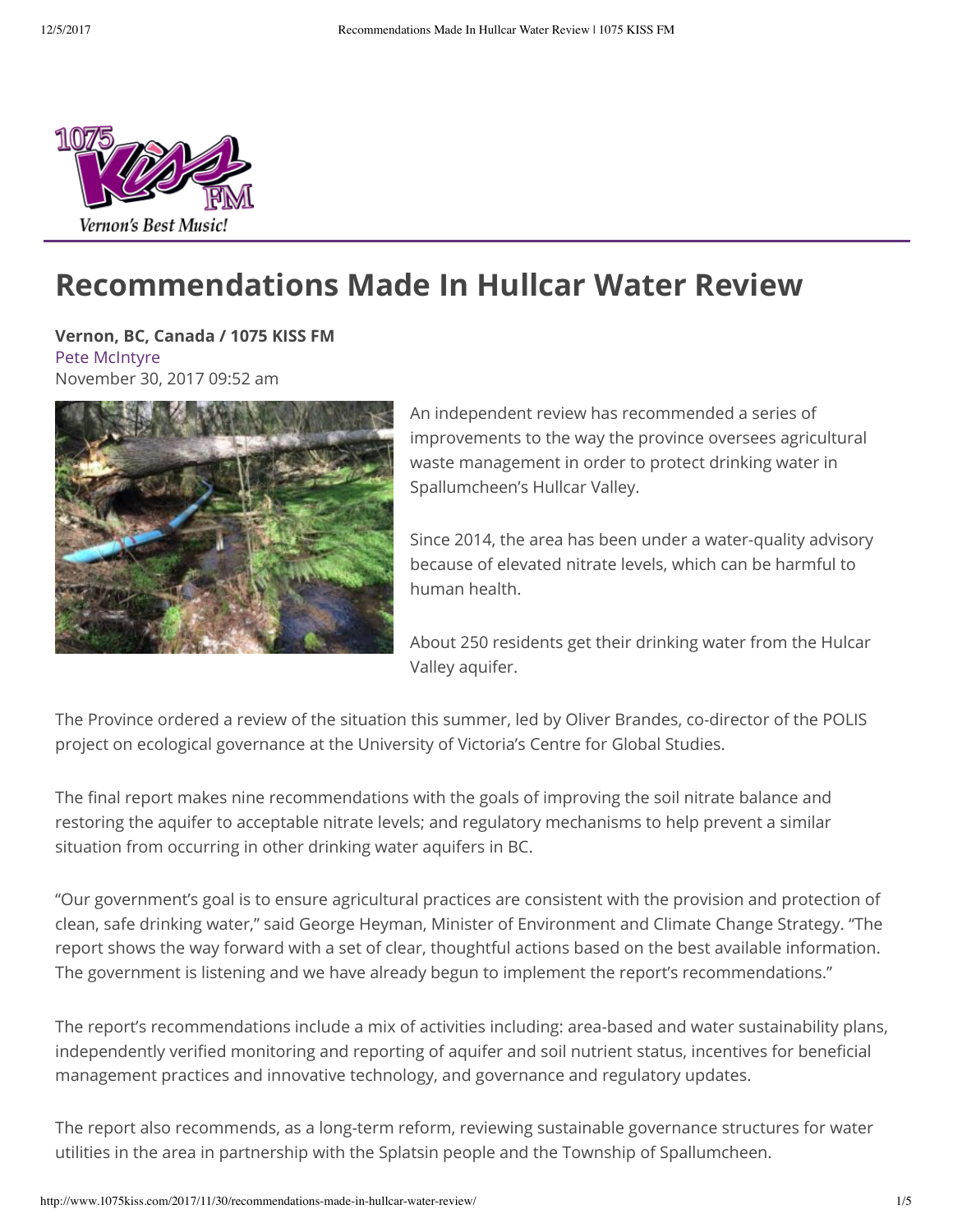

# **Recommendations Made In Hullcar Water Review**

**Vernon, BC, Canada / 1075 KISS FM** [Pete McIntyre](mailto:peter.mcintyre@1075kiss.com) November 30, 2017 09:52 am



An independent review has recommended a series of improvements to the way the province oversees agricultural waste management in order to protect drinking water in Spallumcheen's Hullcar Valley.

Since 2014, the area has been under a water-quality advisory because of elevated nitrate levels, which can be harmful to human health.

About 250 residents get their drinking water from the Hulcar Valley aquifer.

The Province ordered a review of the situation this summer, led by Oliver Brandes, co-director of the POLIS project on ecological governance at the University of Victoria's Centre for Global Studies.

The final report makes nine recommendations with the goals of improving the soil nitrate balance and restoring the aquifer to acceptable nitrate levels; and regulatory mechanisms to help prevent a similar situation from occurring in other drinking water aquifers in BC.

"Our government's goal is to ensure agricultural practices are consistent with the provision and protection of clean, safe drinking water," said George Heyman, Minister of Environment and Climate Change Strategy. "The report shows the way forward with a set of clear, thoughtful actions based on the best available information. The government is listening and we have already begun to implement the report's recommendations."

The report's recommendations include a mix of activities including: area-based and water sustainability plans, independently verified monitoring and reporting of aquifer and soil nutrient status, incentives for beneficial management practices and innovative technology, and governance and regulatory updates.

The report also recommends, as a long-term reform, reviewing sustainable governance structures for water utilities in the area in partnership with the Splatsin people and the Township of Spallumcheen.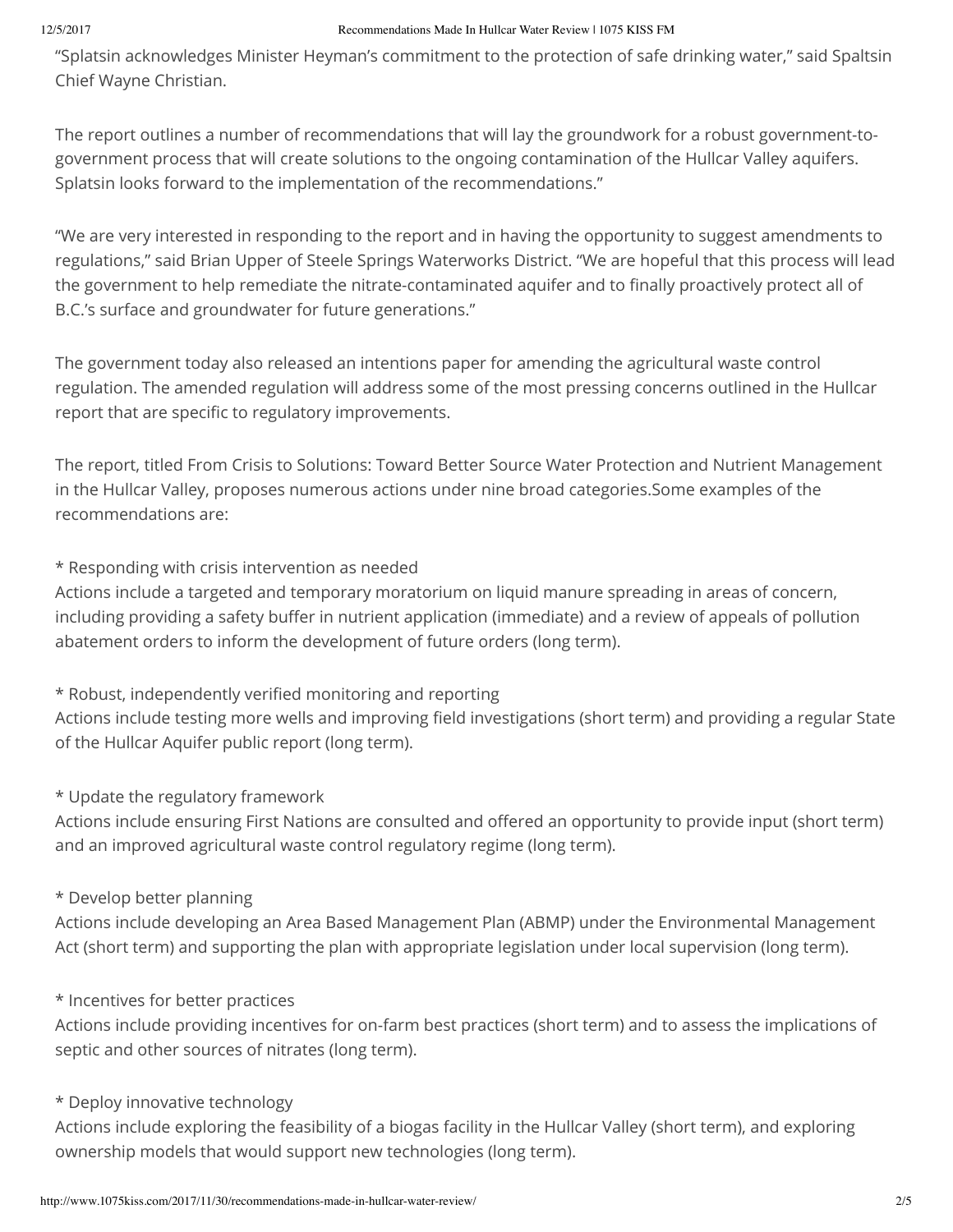#### 12/5/2017 Recommendations Made In Hullcar Water Review | 1075 KISS FM

"Splatsin acknowledges Minister Heyman's commitment to the protection of safe drinking water," said Spaltsin Chief Wayne Christian.

The report outlines a number of recommendations that will lay the groundwork for a robust government-togovernment process that will create solutions to the ongoing contamination of the Hullcar Valley aquifers. Splatsin looks forward to the implementation of the recommendations."

"We are very interested in responding to the report and in having the opportunity to suggest amendments to regulations," said Brian Upper of Steele Springs Waterworks District. "We are hopeful that this process will lead the government to help remediate the nitrate-contaminated aquifer and to finally proactively protect all of B.C.'s surface and groundwater for future generations."

The government today also released an intentions paper for amending the agricultural waste control regulation. The amended regulation will address some of the most pressing concerns outlined in the Hullcar report that are specific to regulatory improvements.

The report, titled From Crisis to Solutions: Toward Better Source Water Protection and Nutrient Management in the Hullcar Valley, proposes numerous actions under nine broad categories.Some examples of the recommendations are:

\* Responding with crisis intervention as needed

Actions include a targeted and temporary moratorium on liquid manure spreading in areas of concern, including providing a safety buffer in nutrient application (immediate) and a review of appeals of pollution abatement orders to inform the development of future orders (long term).

\* Robust, independently verified monitoring and reporting

Actions include testing more wells and improving field investigations (short term) and providing a regular State of the Hullcar Aquifer public report (long term).

\* Update the regulatory framework

Actions include ensuring First Nations are consulted and offered an opportunity to provide input (short term) and an improved agricultural waste control regulatory regime (long term).

#### \* Develop better planning

Actions include developing an Area Based Management Plan (ABMP) under the Environmental Management Act (short term) and supporting the plan with appropriate legislation under local supervision (long term).

#### \* Incentives for better practices

Actions include providing incentives for on-farm best practices (short term) and to assess the implications of septic and other sources of nitrates (long term).

#### \* Deploy innovative technology

Actions include exploring the feasibility of a biogas facility in the Hullcar Valley (short term), and exploring ownership models that would support new technologies (long term).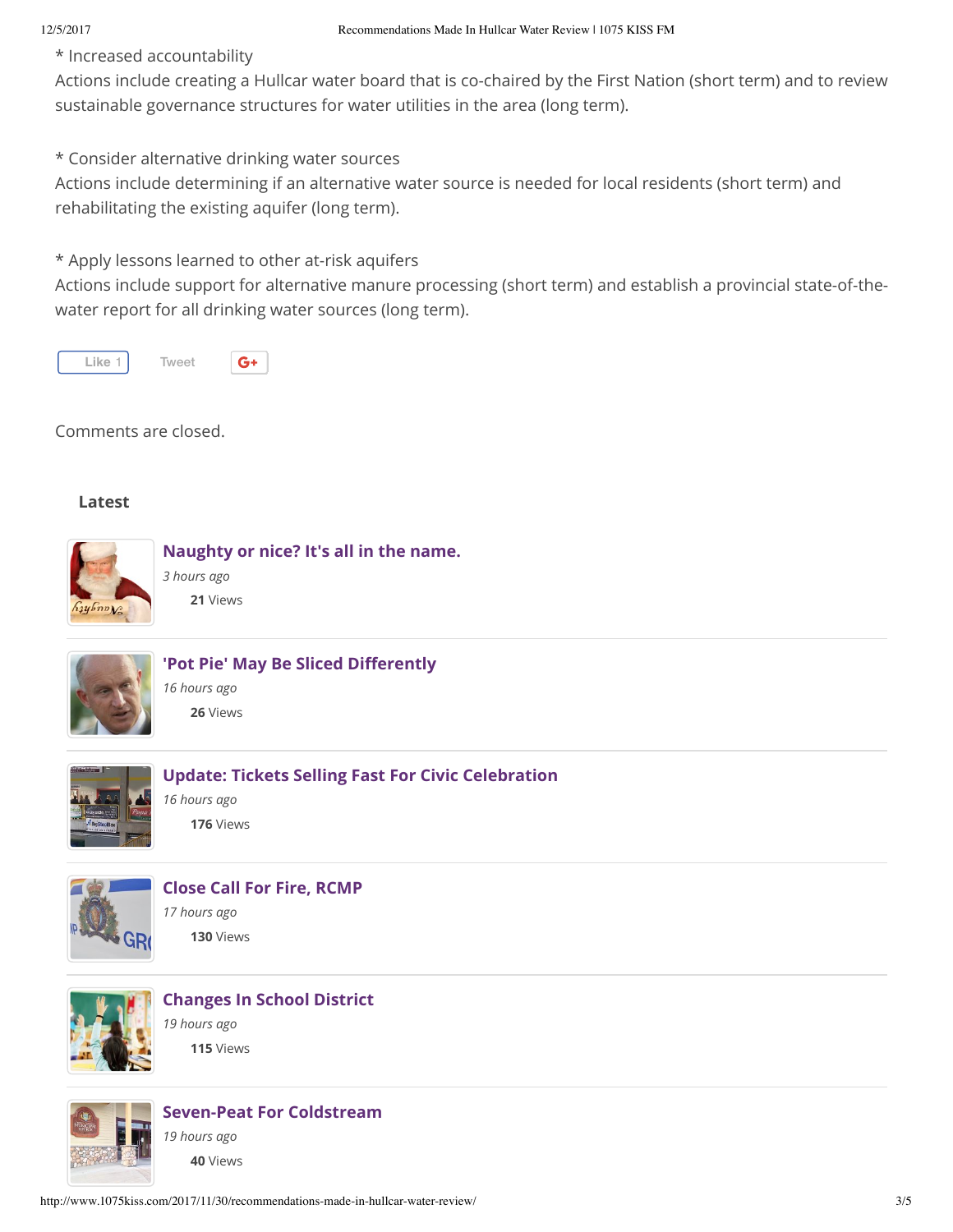\* Increased accountability

Actions include creating a Hullcar water board that is co-chaired by the First Nation (short term) and to review sustainable governance structures for water utilities in the area (long term).

\* Consider alternative drinking water sources

Actions include determining if an alternative water source is needed for local residents (short term) and rehabilitating the existing aquifer (long term).

\* Apply lessons learned to other at-risk aquifers

Actions include support for alternative manure processing (short term) and establish a provincial state-of-thewater report for all drinking water sources (long term).



Comments are closed.

#### **Latest**





'Pot Pie' May Be Sliced Differently

*16 hours ago* **26** Views



#### **[Update: Tickets Selling Fast For Civic Celebration](http://www.1075kiss.com/2017/12/04/fans-line-up-for-civic-tickets)**

*16 hours ago* **176** Views



### **[Close Call For Fire, RCMP](http://www.1075kiss.com/2017/12/04/close-call-for-fire-rcmp)**

*17 hours ago* **130** Views



### **[Changes In School District](http://www.1075kiss.com/2017/12/04/changes-in-school-district)** *19 hours ago*

**115** Views



**[Seven-Peat For Coldstream](http://www.1075kiss.com/2017/12/04/seven-peat-for-coldstream)**

*19 hours ago* **40** Views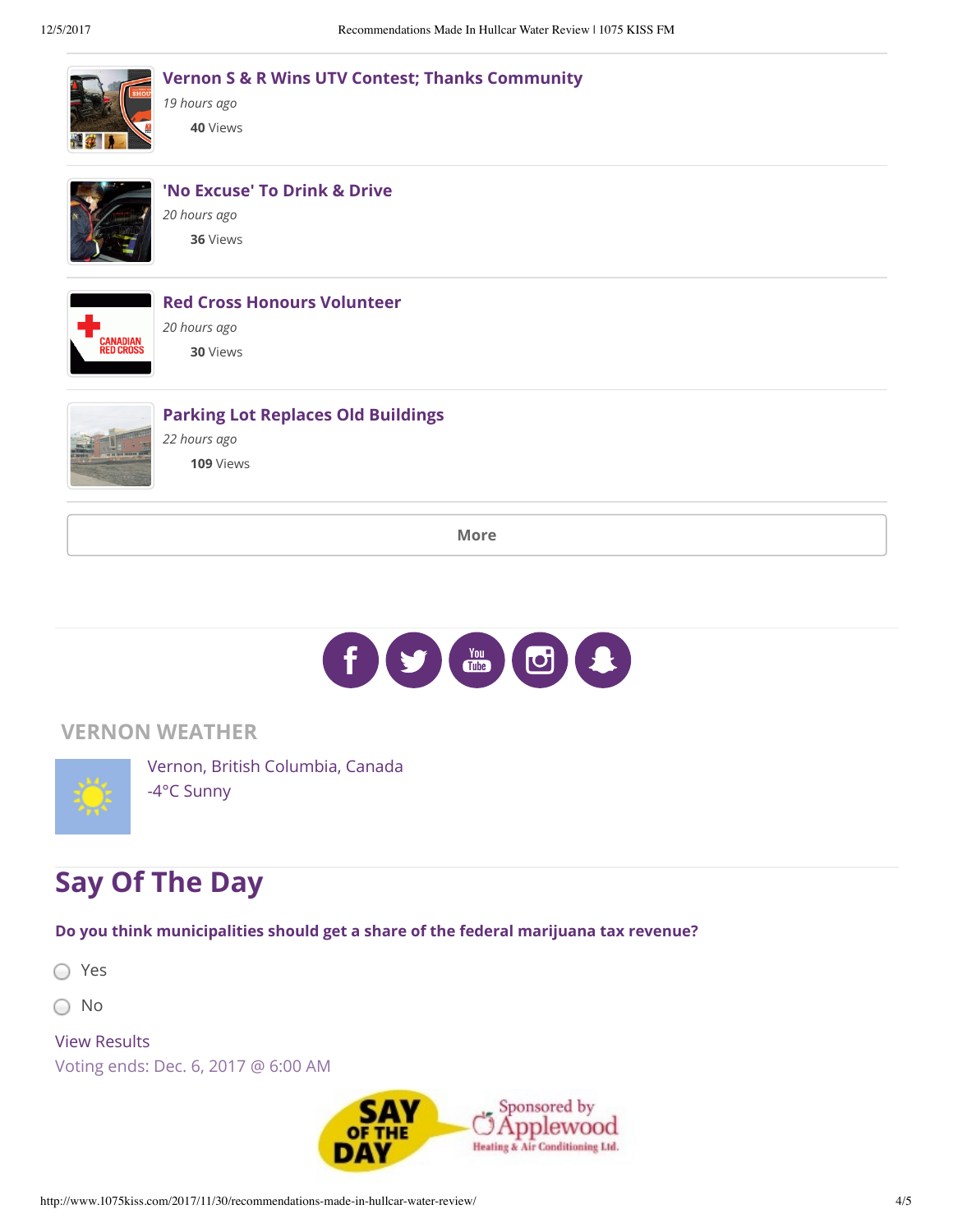|                             | <b>Vernon S &amp; R Wins UTV Contest; Thanks Community</b><br>19 hours ago<br>40 Views |
|-----------------------------|----------------------------------------------------------------------------------------|
|                             | 'No Excuse' To Drink & Drive<br>20 hours ago<br>36 Views                               |
| Canadian<br><b>ED CROSS</b> | <b>Red Cross Honours Volunteer</b><br>20 hours ago<br>30 Views                         |
|                             | <b>Parking Lot Replaces Old Buildings</b><br>22 hours ago<br>109 Views                 |
| <b>More</b>                 |                                                                                        |

 $\begin{picture}(40,40) \put(0,0){\line(1,0){10}} \put(15,0){\line(1,0){10}} \put(15,0){\line(1,0){10}} \put(15,0){\line(1,0){10}} \put(15,0){\line(1,0){10}} \put(15,0){\line(1,0){10}} \put(15,0){\line(1,0){10}} \put(15,0){\line(1,0){10}} \put(15,0){\line(1,0){10}} \put(15,0){\line(1,0){10}} \put(15,0){\line(1,0){10}} \put(15,0){\line(1$  $\left| \mathbf{f} \right|$ 

### **VERNON WEATHER**



Vernon, British Columbia, Canada -4°C Sunny

## **Say Of The Day**

**Do you think municipalities should get a share of the federal marijuana tax revenue?**

○ Yes

○ No

View Results

Voting ends: Dec. 6, 2017 @ 6:00 AM